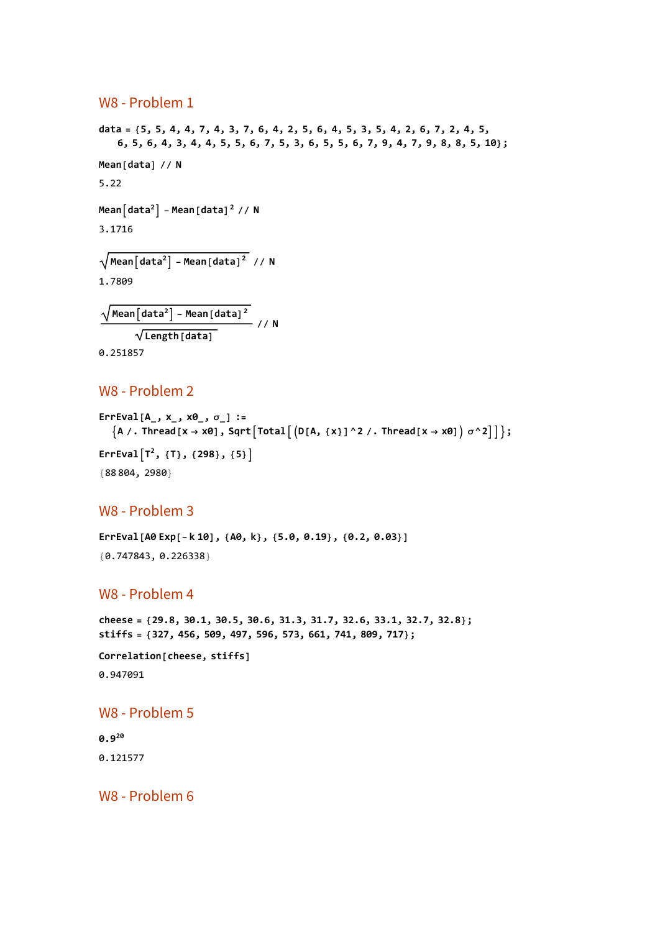### W8 - Problem 1

```
data = {5, 5, 4, 4, 7, 4, 3, 7, 6, 4, 2, 5, 6, 4, 5, 3, 5, 4, 2, 6, 7, 2, 4, 5,
    6, 5, 6, 4, 3, 4, 4, 5, 5, 6, 7, 5, 3, 6, 5, 5, 6, 7, 9, 4, 7, 9, 8, 8, 5, 10};
Mean[data] // N
5.22
Mean[data^2] - Mean[data^2] // N
3.1716
Meandata2 - Mean[data]2 // N
1.7809
 \sqrt{\text{Mean}[\text{data}^2]} – Mean[\text{data}^2]^2Length[data]
                                // N
```
0.251857

### W8 - Problem 2

```
ErrEval[A_, x_, x0_, σ_] :=
  \{A /. Thread [x \rightarrow x0], Sqrt [Total [ (D[A, {x}] ^2 /. Thread [x \rightarrow x0] ) \sigma^2 ] ]\};
ErrEvalT2, {T}, {298}, {5}
{88 804, 2980}
```
## W8 - Problem 3

**ErrEval[A0 Exp[-k 10], {A0, k}, {5.0, 0.19}, {0.2, 0.03}]** {0.747843, 0.226338}

# W8 - Problem 4

```
cheese = {29.8, 30.1, 30.5, 30.6, 31.3, 31.7, 32.6, 33.1, 32.7, 32.8};
stiffs = {327, 456, 509, 497, 596, 573, 661, 741, 809, 717};
```

```
Correlation[cheese, stiffs]
0.947091
```
### W8 - Problem 5

**0.9<sup>20</sup>** 0.121577

W8 - Problem 6